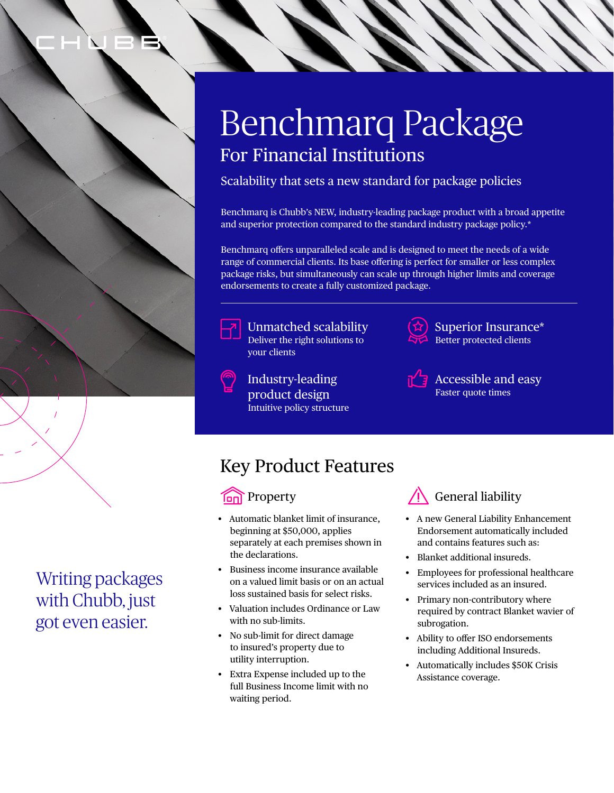# Benchmarq Package For Financial Institutions

Scalability that sets a new standard for package policies

Benchmarq is Chubb's NEW, industry-leading package product with a broad appetite and superior protection compared to the standard industry package policy.\*

Benchmarq offers unparalleled scale and is designed to meet the needs of a wide range of commercial clients. Its base offering is perfect for smaller or less complex package risks, but simultaneously can scale up through higher limits and coverage endorsements to create a fully customized package.



product design Intuitive policy structure

Industry-leading **Industry-leading**<br> **Accessible and easy**<br>
Faster quote times



## Key Product Features

 $\bigodot$ 

- separately at each premises shown in and contains features such as: the declarations.  $\bullet$  Blanket additional insureds.
- Business income insurance available Employees for professional healthcare on a valued limit basis or on an actual services included as an insured.<br>loss sustained basis for select risks.
- with no sub-limits. subrogation.
- No sub-limit for direct damage<br>to insured's property due to  $\frac{1}{2}$  and  $\frac{1}{2}$  and  $\frac{1}{2}$  including Additional Insureds to insured's property due to including Additional Insureds.<br>
utility interruption.
- Extra Expense included up to the Assistance coverage. full Business Income limit with no waiting period.



- Automatic blanket limit of insurance, A new General Liability Enhancement beginning at \$50,000, applies Endorsement automatically included
	-
	-
- loss sustained basis for select risks. Primary non-contributory where required by contract Blanket wavier of
	-
	- Automatically includes \$50K Crisis

Writing packages with Chubb, just got even easier.